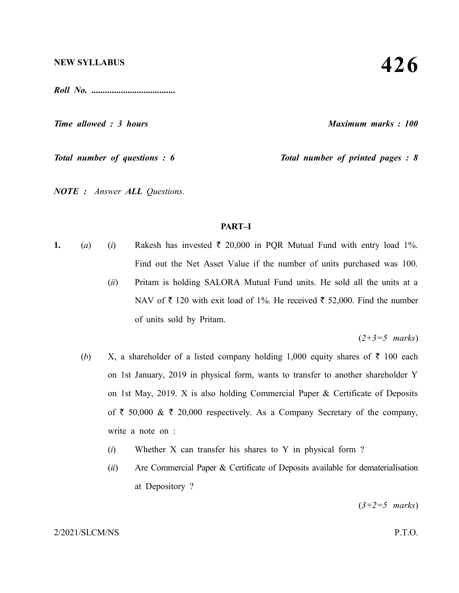*Roll No. .....................................*

*Time allowed : 3 hours Maximum marks : 100*

*Total number of questions : 6 Total number of printed pages : 8*

*NOTE : Answer ALL Questions.*

## **PART–I**

- **1.** (*a*) (*i*) Rakesh has invested  $\bar{\tau}$  20,000 in PQR Mutual Fund with entry load 1%. Find out the Net Asset Value if the number of units purchased was 100.
	- (*ii*) Pritam is holding SALORA Mutual Fund units. He sold all the units at a NAV of  $\bar{\tau}$  120 with exit load of 1%. He received  $\bar{\tau}$  52,000. Find the number of units sold by Pritam.

(*2+3=5 marks*)

- (*b*) X, a shareholder of a listed company holding 1,000 equity shares of  $\bar{\tau}$  100 each on 1st January, 2019 in physical form, wants to transfer to another shareholder Y on 1st May, 2019. X is also holding Commercial Paper & Certificate of Deposits of  $\bar{\tau}$  50,000 &  $\bar{\tau}$  20,000 respectively. As a Company Secretary of the company, write a note on :
	- (*i*) Whether X can transfer his shares to Y in physical form ?
	- (*ii*) Are Commercial Paper & Certificate of Deposits available for dematerialisation at Depository ?

(*3+2=5 marks*)

#### 2/2021/SLCM/NS P.T.O.

# **426**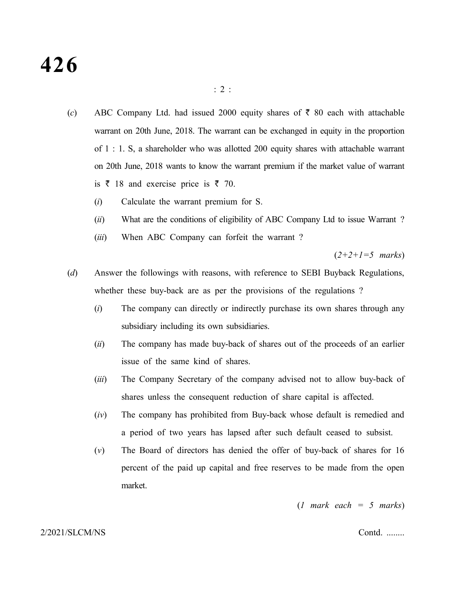# **426**

- (*c*) ABC Company Ltd. had issued 2000 equity shares of  $\bar{\tau}$  80 each with attachable warrant on 20th June, 2018. The warrant can be exchanged in equity in the proportion of 1 : 1. S, a shareholder who was allotted 200 equity shares with attachable warrant on 20th June, 2018 wants to know the warrant premium if the market value of warrant is  $\bar{\tau}$  18 and exercise price is  $\bar{\tau}$  70.
	- (*i*) Calculate the warrant premium for S.
	- (*ii*) What are the conditions of eligibility of ABC Company Ltd to issue Warrant ?
	- (*iii*) When ABC Company can forfeit the warrant ?

(*2+2+1=5 marks*)

- (*d*) Answer the followings with reasons, with reference to SEBI Buyback Regulations, whether these buy-back are as per the provisions of the regulations ?
	- (*i*) The company can directly or indirectly purchase its own shares through any subsidiary including its own subsidiaries.
	- (*ii*) The company has made buy-back of shares out of the proceeds of an earlier issue of the same kind of shares.
	- (*iii*) The Company Secretary of the company advised not to allow buy-back of shares unless the consequent reduction of share capital is affected.
	- (*iv*) The company has prohibited from Buy-back whose default is remedied and a period of two years has lapsed after such default ceased to subsist.
	- (*v*) The Board of directors has denied the offer of buy-back of shares for 16 percent of the paid up capital and free reserves to be made from the open market.

(*1 mark each = 5 marks*)

#### 2/2021/SLCM/NS Contd. ........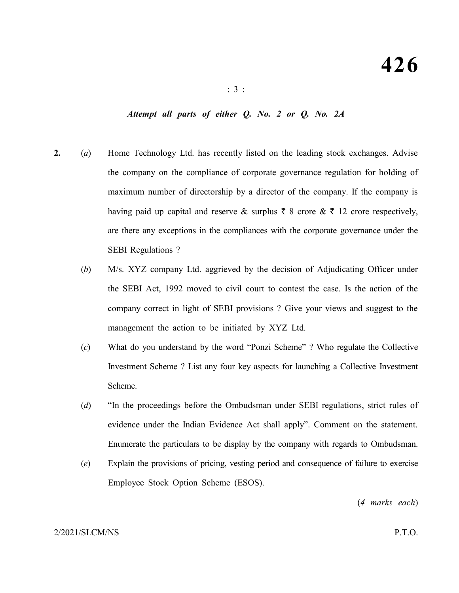# *Attempt all parts of either Q. No. 2 or Q. No. 2A*

- **2.** (*a*) Home Technology Ltd. has recently listed on the leading stock exchanges. Advise the company on the compliance of corporate governance regulation for holding of maximum number of directorship by a director of the company. If the company is having paid up capital and reserve & surplus  $\bar{\tau}$  8 crore  $\& \bar{\tau}$  12 crore respectively, are there any exceptions in the compliances with the corporate governance under the SEBI Regulations ?
	- (*b*) M/s. XYZ company Ltd. aggrieved by the decision of Adjudicating Officer under the SEBI Act, 1992 moved to civil court to contest the case. Is the action of the company correct in light of SEBI provisions ? Give your views and suggest to the management the action to be initiated by XYZ Ltd.
	- (*c*) What do you understand by the word "Ponzi Scheme" ? Who regulate the Collective Investment Scheme ? List any four key aspects for launching a Collective Investment Scheme.
	- (*d*) "In the proceedings before the Ombudsman under SEBI regulations, strict rules of evidence under the Indian Evidence Act shall apply". Comment on the statement. Enumerate the particulars to be display by the company with regards to Ombudsman.
	- (*e*) Explain the provisions of pricing, vesting period and consequence of failure to exercise Employee Stock Option Scheme (ESOS).

(*4 marks each*)

### 2/2021/SLCM/NS P.T.O.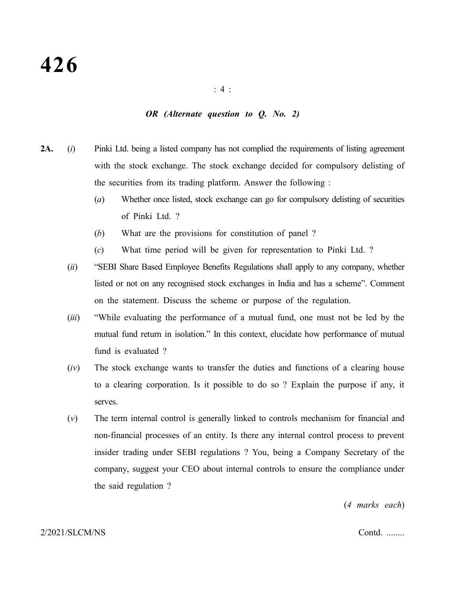## *OR (Alternate question to Q. No. 2)*

- **2A.** (*i*) Pinki Ltd. being a listed company has not complied the requirements of listing agreement with the stock exchange. The stock exchange decided for compulsory delisting of the securities from its trading platform. Answer the following :
	- (*a*) Whether once listed, stock exchange can go for compulsory delisting of securities of Pinki Ltd. ?
	- (*b*) What are the provisions for constitution of panel ?
	- (*c*) What time period will be given for representation to Pinki Ltd. ?
	- (*ii*) "SEBI Share Based Employee Benefits Regulations shall apply to any company, whether listed or not on any recognised stock exchanges in India and has a scheme". Comment on the statement. Discuss the scheme or purpose of the regulation.
	- (*iii*) "While evaluating the performance of a mutual fund, one must not be led by the mutual fund return in isolation." In this context, elucidate how performance of mutual fund is evaluated ?
	- (*iv*) The stock exchange wants to transfer the duties and functions of a clearing house to a clearing corporation. Is it possible to do so ? Explain the purpose if any, it serves.
	- (*v*) The term internal control is generally linked to controls mechanism for financial and non-financial processes of an entity. Is there any internal control process to prevent insider trading under SEBI regulations ? You, being a Company Secretary of the company, suggest your CEO about internal controls to ensure the compliance under the said regulation ?

(*4 marks each*)

#### 2/2021/SLCM/NS Contd. ........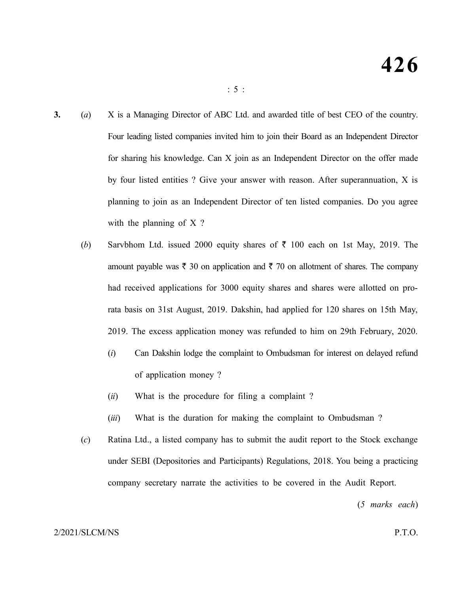- **3.** (*a*) X is a Managing Director of ABC Ltd. and awarded title of best CEO of the country. Four leading listed companies invited him to join their Board as an Independent Director for sharing his knowledge. Can X join as an Independent Director on the offer made by four listed entities ? Give your answer with reason. After superannuation, X is planning to join as an Independent Director of ten listed companies. Do you agree with the planning of X?
	- (*b*) Sarvbhom Ltd. issued 2000 equity shares of  $\bar{\tau}$  100 each on 1st May, 2019. The amount payable was  $\bar{\tau}$  30 on application and  $\bar{\tau}$  70 on allotment of shares. The company had received applications for 3000 equity shares and shares were allotted on prorata basis on 31st August, 2019. Dakshin, had applied for 120 shares on 15th May, 2019. The excess application money was refunded to him on 29th February, 2020.
		- (*i*) Can Dakshin lodge the complaint to Ombudsman for interest on delayed refund of application money ?
		- (*ii*) What is the procedure for filing a complaint ?
		- (*iii*) What is the duration for making the complaint to Ombudsman ?
	- (*c*) Ratina Ltd., a listed company has to submit the audit report to the Stock exchange under SEBI (Depositories and Participants) Regulations, 2018. You being a practicing company secretary narrate the activities to be covered in the Audit Report.

(*5 marks each*)

### 2/2021/SLCM/NS P.T.O.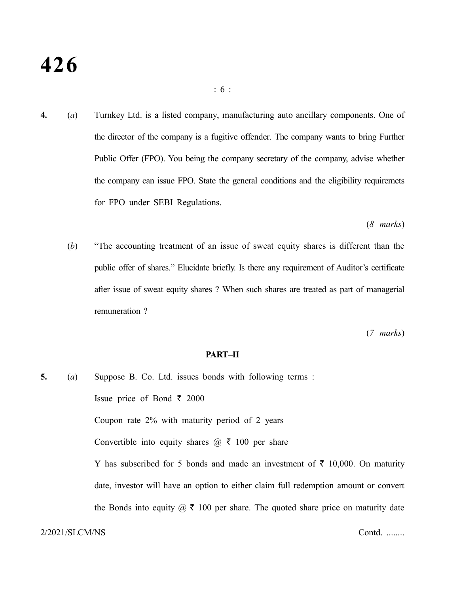# **426**

**4.** (*a*) Turnkey Ltd. is a listed company, manufacturing auto ancillary components. One of the director of the company is a fugitive offender. The company wants to bring Further Public Offer (FPO). You being the company secretary of the company, advise whether the company can issue FPO. State the general conditions and the eligibility requiremets for FPO under SEBI Regulations.

(*8 marks*)

(*b*) "The accounting treatment of an issue of sweat equity shares is different than the public offer of shares." Elucidate briefly. Is there any requirement of Auditor's certificate after issue of sweat equity shares ? When such shares are treated as part of managerial remuneration ?

(*7 marks*)

### **PART–II**

**5.** (*a*) Suppose B. Co. Ltd. issues bonds with following terms : Issue price of Bond ₹ 2000 Coupon rate 2% with maturity period of 2 years Convertible into equity shares  $\omega \, \bar{\tau}$  100 per share Y has subscribed for 5 bonds and made an investment of  $\bar{\tau}$  10,000. On maturity date, investor will have an option to either claim full redemption amount or convert the Bonds into equity  $\omega \, \bar{\tau}$  100 per share. The quoted share price on maturity date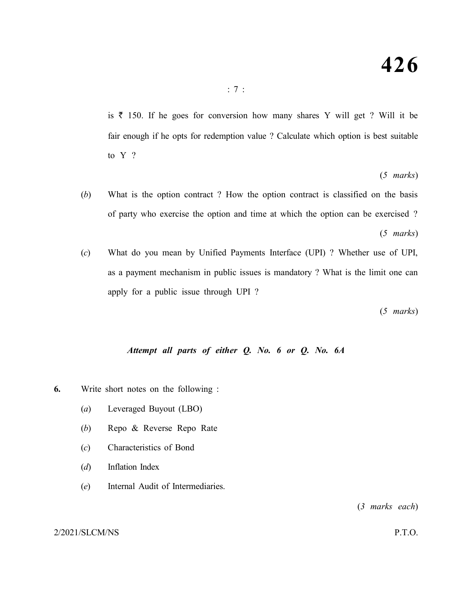is  $\bar{\tau}$  150. If he goes for conversion how many shares Y will get ? Will it be fair enough if he opts for redemption value ? Calculate which option is best suitable to Y ?

(*5 marks*)

- (*b*) What is the option contract ? How the option contract is classified on the basis of party who exercise the option and time at which the option can be exercised ? (*5 marks*)
- (*c*) What do you mean by Unified Payments Interface (UPI) ? Whether use of UPI, as a payment mechanism in public issues is mandatory ? What is the limit one can apply for a public issue through UPI ?

(*5 marks*)

# *Attempt all parts of either Q. No. 6 or Q. No. 6A*

- **6.** Write short notes on the following :
	- (*a*) Leveraged Buyout (LBO)
	- (*b*) Repo & Reverse Repo Rate
	- (*c*) Characteristics of Bond
	- (*d*) Inflation Index
	- (*e*) Internal Audit of Intermediaries.

(*3 marks each*)

## 2/2021/SLCM/NS P.T.O.